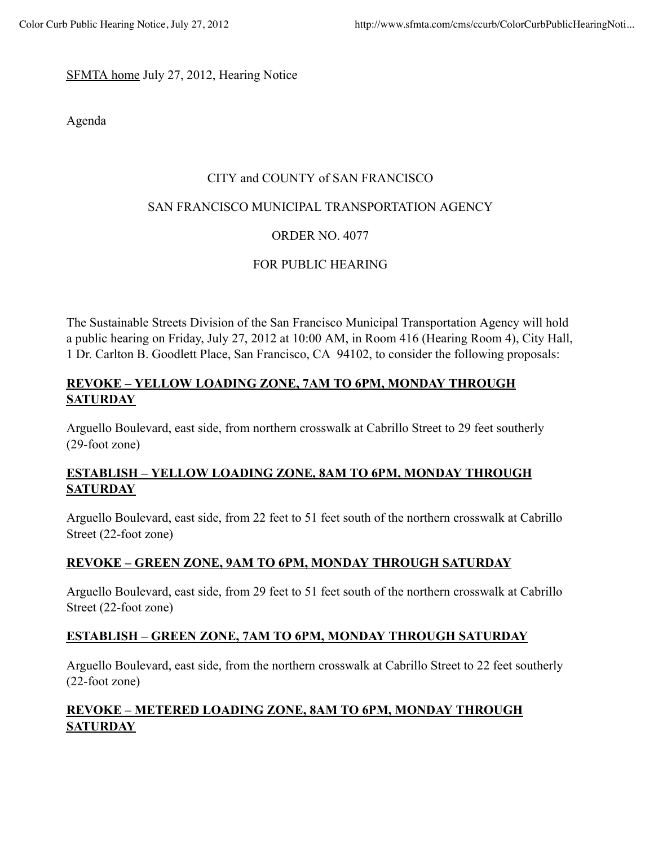#### SFMTA home July 27, 2012, Hearing Notice

Agenda

#### CITY and COUNTY of SAN FRANCISCO

#### SAN FRANCISCO MUNICIPAL TRANSPORTATION AGENCY

## ORDER NO. 4077

## FOR PUBLIC HEARING

The Sustainable Streets Division of the San Francisco Municipal Transportation Agency will hold a public hearing on Friday, July 27, 2012 at 10:00 AM, in Room 416 (Hearing Room 4), City Hall, 1 Dr. Carlton B. Goodlett Place, San Francisco, CA 94102, to consider the following proposals:

## **REVOKE – YELLOW LOADING ZONE, 7AM TO 6PM, MONDAY THROUGH SATURDAY**

Arguello Boulevard, east side, from northern crosswalk at Cabrillo Street to 29 feet southerly (29-foot zone)

### **ESTABLISH – YELLOW LOADING ZONE, 8AM TO 6PM, MONDAY THROUGH SATURDAY**

Arguello Boulevard, east side, from 22 feet to 51 feet south of the northern crosswalk at Cabrillo Street (22-foot zone)

#### **REVOKE – GREEN ZONE, 9AM TO 6PM, MONDAY THROUGH SATURDAY**

Arguello Boulevard, east side, from 29 feet to 51 feet south of the northern crosswalk at Cabrillo Street (22-foot zone)

#### **ESTABLISH – GREEN ZONE, 7AM TO 6PM, MONDAY THROUGH SATURDAY**

Arguello Boulevard, east side, from the northern crosswalk at Cabrillo Street to 22 feet southerly (22-foot zone)

# **REVOKE – METERED LOADING ZONE, 8AM TO 6PM, MONDAY THROUGH SATURDAY**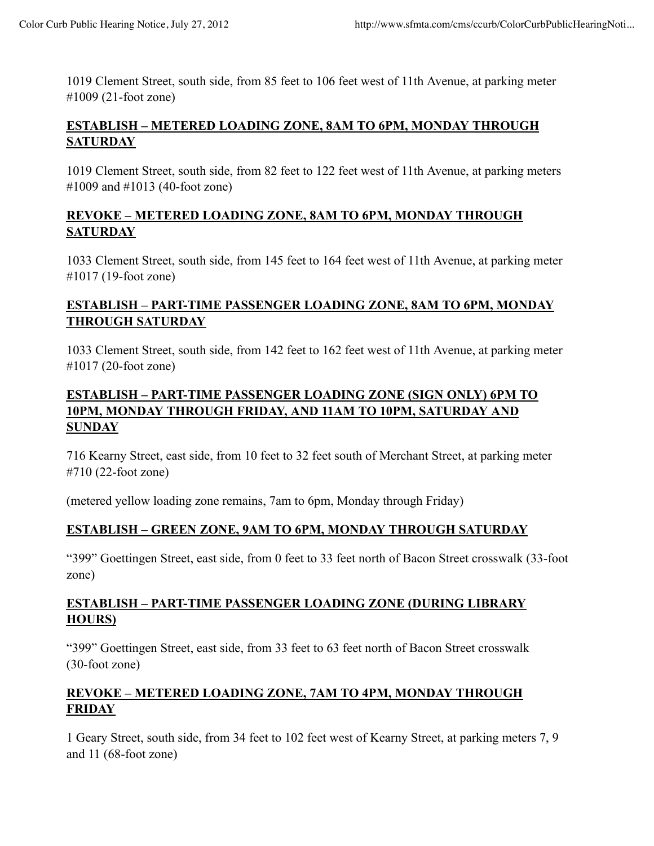1019 Clement Street, south side, from 85 feet to 106 feet west of 11th Avenue, at parking meter #1009 (21-foot zone)

### **ESTABLISH – METERED LOADING ZONE, 8AM TO 6PM, MONDAY THROUGH SATURDAY**

1019 Clement Street, south side, from 82 feet to 122 feet west of 11th Avenue, at parking meters #1009 and #1013 (40-foot zone)

### **REVOKE – METERED LOADING ZONE, 8AM TO 6PM, MONDAY THROUGH SATURDAY**

1033 Clement Street, south side, from 145 feet to 164 feet west of 11th Avenue, at parking meter #1017 (19-foot zone)

## **ESTABLISH – PART-TIME PASSENGER LOADING ZONE, 8AM TO 6PM, MONDAY THROUGH SATURDAY**

1033 Clement Street, south side, from 142 feet to 162 feet west of 11th Avenue, at parking meter #1017 (20-foot zone)

## **ESTABLISH – PART-TIME PASSENGER LOADING ZONE (SIGN ONLY) 6PM TO 10PM, MONDAY THROUGH FRIDAY, AND 11AM TO 10PM, SATURDAY AND SUNDAY**

716 Kearny Street, east side, from 10 feet to 32 feet south of Merchant Street, at parking meter #710 (22-foot zone)

(metered yellow loading zone remains, 7am to 6pm, Monday through Friday)

## **ESTABLISH – GREEN ZONE, 9AM TO 6PM, MONDAY THROUGH SATURDAY**

"399" Goettingen Street, east side, from 0 feet to 33 feet north of Bacon Street crosswalk (33-foot zone)

### **ESTABLISH – PART-TIME PASSENGER LOADING ZONE (DURING LIBRARY HOURS)**

"399" Goettingen Street, east side, from 33 feet to 63 feet north of Bacon Street crosswalk (30-foot zone)

## **REVOKE – METERED LOADING ZONE, 7AM TO 4PM, MONDAY THROUGH FRIDAY**

1 Geary Street, south side, from 34 feet to 102 feet west of Kearny Street, at parking meters 7, 9 and 11 (68-foot zone)